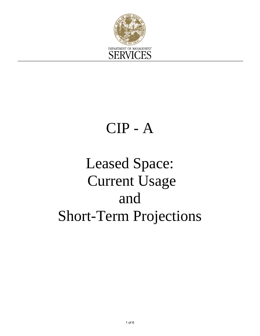

## CIP - A

# Leased Space: Current Usage and Short-Term Projections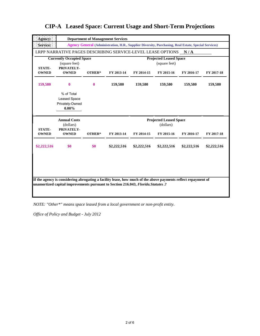| Agency:                       |                                                                                                                                                                                                     | <b>Department of Management Services</b>                                                             |                                                |                                            |             |             |             |  |
|-------------------------------|-----------------------------------------------------------------------------------------------------------------------------------------------------------------------------------------------------|------------------------------------------------------------------------------------------------------|------------------------------------------------|--------------------------------------------|-------------|-------------|-------------|--|
| Service:                      |                                                                                                                                                                                                     | Agency General (Administration, H.R., Supplier Diversity, Purchasing, Real Estate, Special Services) |                                                |                                            |             |             |             |  |
|                               | LRPP NARRATIVE PAGES DESCRIBING SERVICE-LEVEL LEASE OPTIONS N/A                                                                                                                                     |                                                                                                      |                                                |                                            |             |             |             |  |
|                               | <b>Currently Occupied Space</b><br>(square feet)                                                                                                                                                    |                                                                                                      | <b>Projected Leased Space</b><br>(square feet) |                                            |             |             |             |  |
| <b>STATE-</b><br><b>OWNED</b> | PRIVATELY-<br><b>OWNED</b>                                                                                                                                                                          | OTHER*                                                                                               | FY 2013-14                                     | FY 2014-15                                 | FY 2015-16  | FY 2016-17  | FY 2017-18  |  |
| 159,580                       | $\bf{0}$                                                                                                                                                                                            | $\mathbf{0}$                                                                                         | 159,580                                        | 159,580                                    | 159,580     | 159,580     | 159,580     |  |
|                               | % of Total<br>Leased Space<br>Privately-Owned<br>$0.00\%$                                                                                                                                           |                                                                                                      |                                                |                                            |             |             |             |  |
|                               | <b>Annual Costs</b><br>(dollars)                                                                                                                                                                    |                                                                                                      |                                                | <b>Projected Leased Space</b><br>(dollars) |             |             |             |  |
| <b>STATE-</b><br><b>OWNED</b> | PRIVATELY-<br><b>OWNED</b>                                                                                                                                                                          | OTHER*                                                                                               | FY 2013-14                                     | FY 2014-15                                 | FY 2015-16  | FY 2016-17  | FY 2017-18  |  |
| \$2,222,516                   | \$0                                                                                                                                                                                                 | \$0                                                                                                  | \$2,222,516                                    | \$2,222,516                                | \$2,222,516 | \$2,222,516 | \$2,222,516 |  |
|                               |                                                                                                                                                                                                     |                                                                                                      |                                                |                                            |             |             |             |  |
|                               | If the agency is considering abrogating a facility lease, how much of the above payments reflect repayment of<br>unamortized capital improvements pursuant to Section 216.043, Florida. Statutes .? |                                                                                                      |                                                |                                            |             |             |             |  |

*NOTE: "Other\*" means space leased from a local government or non-profit entity.*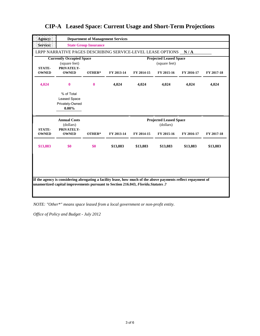| <b>State Group Insurance</b><br><b>Currently Occupied Space</b><br>(square feet)<br>PRIVATELY- | LRPP NARRATIVE PAGES DESCRIBING SERVICE-LEVEL LEASE OPTIONS N/A                                                                           |                                                |            |            |                                                                                                               |  |  |
|------------------------------------------------------------------------------------------------|-------------------------------------------------------------------------------------------------------------------------------------------|------------------------------------------------|------------|------------|---------------------------------------------------------------------------------------------------------------|--|--|
|                                                                                                |                                                                                                                                           |                                                |            |            |                                                                                                               |  |  |
|                                                                                                |                                                                                                                                           |                                                |            |            |                                                                                                               |  |  |
|                                                                                                |                                                                                                                                           | <b>Projected Leased Space</b><br>(square feet) |            |            |                                                                                                               |  |  |
| <b>OWNED</b><br>OTHER*                                                                         | FY 2013-14                                                                                                                                | FY 2014-15                                     | FY 2015-16 | FY 2016-17 | FY 2017-18                                                                                                    |  |  |
| $\bf{0}$<br>$\theta$                                                                           | 4,024                                                                                                                                     | 4,024                                          | 4,024      | 4,024      | 4,024                                                                                                         |  |  |
|                                                                                                |                                                                                                                                           |                                                |            |            |                                                                                                               |  |  |
|                                                                                                |                                                                                                                                           | <b>Projected Leased Space</b><br>(dollars)     |            |            |                                                                                                               |  |  |
|                                                                                                | FY 2013-14                                                                                                                                | FY 2014-15                                     | FY 2015-16 | FY 2016-17 | FY 2017-18                                                                                                    |  |  |
| \$0                                                                                            | \$13,883                                                                                                                                  | \$13,883                                       | \$13,883   | \$13,883   | \$13,883                                                                                                      |  |  |
|                                                                                                |                                                                                                                                           |                                                |            |            |                                                                                                               |  |  |
|                                                                                                | % of Total<br><b>Leased Space</b><br>Privately-Owned<br>$0.00\%$<br><b>Annual Costs</b><br>(dollars)<br>PRIVATELY-<br><b>OWNED</b><br>\$0 | OTHER*                                         |            |            | If the agency is considering abrogating a facility lease, how much of the above payments reflect repayment of |  |  |

*NOTE: "Other\*" means space leased from a local government or non-profit entity.*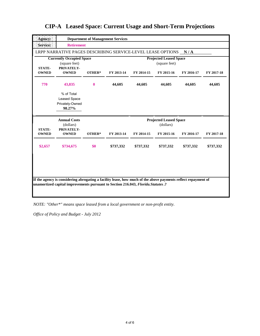| Agency:                                                                         |                                                                                                                                                                                                     |              | <b>Department of Management Services</b>       |                                            |            |            |            |  |
|---------------------------------------------------------------------------------|-----------------------------------------------------------------------------------------------------------------------------------------------------------------------------------------------------|--------------|------------------------------------------------|--------------------------------------------|------------|------------|------------|--|
| Service:                                                                        | <b>Retirement</b>                                                                                                                                                                                   |              |                                                |                                            |            |            |            |  |
|                                                                                 | LRPP NARRATIVE PAGES DESCRIBING SERVICE-LEVEL LEASE OPTIONS N/A                                                                                                                                     |              |                                                |                                            |            |            |            |  |
| <b>Currently Occupied Space</b><br>(square feet)<br>PRIVATELY-<br><b>STATE-</b> |                                                                                                                                                                                                     |              | <b>Projected Leased Space</b><br>(square feet) |                                            |            |            |            |  |
| <b>OWNED</b>                                                                    | <b>OWNED</b>                                                                                                                                                                                        | OTHER*       | FY 2013-14                                     | FY 2014-15                                 | FY 2015-16 | FY 2016-17 | FY 2017-18 |  |
| 770                                                                             | 43,835                                                                                                                                                                                              | $\mathbf{0}$ | 44,605                                         | 44,605                                     | 44,605     | 44,605     | 44,605     |  |
|                                                                                 | % of Total<br>Leased Space<br>Privately-Owned<br>98.27%                                                                                                                                             |              |                                                |                                            |            |            |            |  |
|                                                                                 | <b>Annual Costs</b><br>(dollars)                                                                                                                                                                    |              |                                                | <b>Projected Leased Space</b><br>(dollars) |            |            |            |  |
| <b>STATE-</b>                                                                   | PRIVATELY-                                                                                                                                                                                          | OTHER*       | FY 2013-14                                     | FY 2014-15                                 | FY 2015-16 | FY 2016-17 | FY 2017-18 |  |
| <b>OWNED</b>                                                                    | <b>OWNED</b>                                                                                                                                                                                        |              |                                                |                                            |            |            |            |  |
| \$2,657                                                                         | \$734,675                                                                                                                                                                                           | \$0          | \$737,332                                      | \$737,332                                  | \$737,332  | \$737,332  | \$737,332  |  |
|                                                                                 |                                                                                                                                                                                                     |              |                                                |                                            |            |            |            |  |
|                                                                                 |                                                                                                                                                                                                     |              |                                                |                                            |            |            |            |  |
|                                                                                 | If the agency is considering abrogating a facility lease, how much of the above payments reflect repayment of<br>unamortized capital improvements pursuant to Section 216.043, Florida. Statutes .? |              |                                                |                                            |            |            |            |  |

*NOTE: "Other\*" means space leased from a local government or non-profit entity.*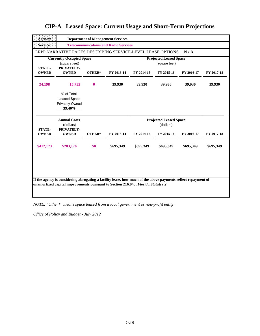| Agency:                       |                                                                 |                                              | <b>Department of Management Services</b>       |                                            |            |            |            |  |
|-------------------------------|-----------------------------------------------------------------|----------------------------------------------|------------------------------------------------|--------------------------------------------|------------|------------|------------|--|
| Service:                      |                                                                 | <b>Telecommunications and Radio Services</b> |                                                |                                            |            |            |            |  |
|                               | LRPP NARRATIVE PAGES DESCRIBING SERVICE-LEVEL LEASE OPTIONS N/A |                                              |                                                |                                            |            |            |            |  |
|                               | <b>Currently Occupied Space</b><br>(square feet)                |                                              | <b>Projected Leased Space</b><br>(square feet) |                                            |            |            |            |  |
| <b>STATE-</b><br><b>OWNED</b> | PRIVATELY-<br><b>OWNED</b>                                      | OTHER*                                       | FY 2013-14                                     | FY 2014-15                                 | FY 2015-16 | FY 2016-17 | FY 2017-18 |  |
| 24,198                        | 15,732                                                          | $\bf{0}$                                     | 39,930                                         | 39,930                                     | 39,930     | 39,930     | 39,930     |  |
|                               | % of Total<br><b>Leased Space</b><br>Privately-Owned<br>39.40%  |                                              |                                                |                                            |            |            |            |  |
|                               | <b>Annual Costs</b>                                             |                                              |                                                | <b>Projected Leased Space</b><br>(dollars) |            |            |            |  |
|                               | (dollars)                                                       |                                              |                                                |                                            |            |            |            |  |
| <b>STATE-</b><br><b>OWNED</b> | PRIVATELY-<br><b>OWNED</b>                                      | OTHER*                                       | FY 2013-14                                     | FY 2014-15                                 | FY 2015-16 | FY 2016-17 | FY 2017-18 |  |
| \$412,173                     | \$283,176                                                       | \$0                                          | \$695,349                                      | \$695,349                                  | \$695,349  | \$695,349  | \$695,349  |  |
|                               |                                                                 |                                              |                                                |                                            |            |            |            |  |

*NOTE: "Other\*" means space leased from a local government or non-profit entity.*